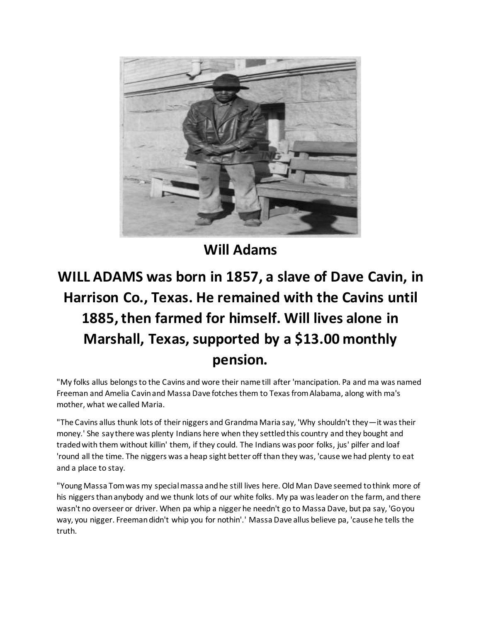

**Will Adams**

## **WILL ADAMS was born in 1857, a slave of Dave Cavin, in Harrison Co., Texas. He remained with the Cavins until 1885, then farmed for himself. Will lives alone in Marshall, Texas, supported by a \$13.00 monthly pension.**

"My folks allus belongs to the Cavins and wore their name till after 'mancipation. Pa and ma was named Freeman and Amelia Cavin and Massa Dave fotches them to Texas from Alabama, along with ma's mother, what we called Maria.

"The Cavins allus thunk lots of their niggers and Grandma Maria say, 'Why shouldn't they—it was their money.' She say there was plenty Indians here when they settled this country and they bought and traded with them without killin' them, if they could. The Indians was poor folks, jus' pilfer and loaf 'round all the time. The niggers was a heap sight better off than they was, 'cause we had plenty to eat and a place to stay.

"Young Massa Tom was my special massa and he still lives here. Old Man Dave seemed to think more of his niggers than anybody and we thunk lots of our white folks. My pa was leader on the farm, and there wasn't no overseer or driver. When pa whip a nigger he needn't go to Massa Dave, but pa say, 'Go you way, you nigger. Freeman didn't whip you for nothin'.' Massa Dave allus believe pa, 'cause he tells the truth.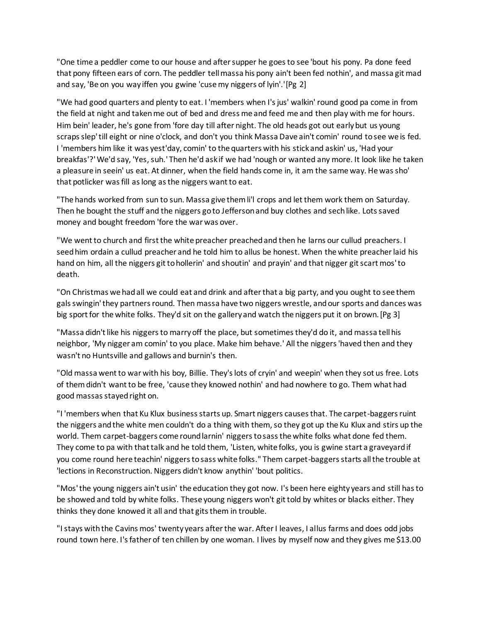"One time a peddler come to our house and after supper he goes to see 'bout his pony. Pa done feed that pony fifteen ears of corn. The peddler tell massa his pony ain't been fed nothin', and massa git mad and say, 'Be on you way iffen you gwine 'cuse my niggers of lyin'.'[Pg 2]

"We had good quarters and plenty to eat. I 'members when I's jus' walkin' round good pa come in from the field at night and taken me out of bed and dress me and feed me and then play with me for hours. Him bein' leader, he's gone from 'fore day till after night. The old heads got out early but us young scraps slep' till eight or nine o'clock, and don't you think Massa Dave ain't comin' round to see we is fed. I 'members him like it was yest'day, comin' to the quarters with his stick and askin' us, 'Had your breakfas'?' We'd say, 'Yes, suh.' Then he'd ask if we had 'nough or wanted any more. It look like he taken a pleasure in seein' us eat. At dinner, when the field hands come in, it am the same way. He was sho' that potlicker was fill as long as the niggers want to eat.

"The hands worked from sun to sun. Massa give them li'l crops and let them work them on Saturday. Then he bought the stuff and the niggers go to Jefferson and buy clothes and sech like. Lots saved money and bought freedom 'fore the war was over.

"We went to church and first the white preacher preached and then he larns our cullud preachers. I seed him ordain a cullud preacher and he told him to allus be honest. When the white preacher laid his hand on him, all the niggers git to hollerin' and shoutin' and prayin' and that nigger git scart mos' to death.

"On Christmas we had all we could eat and drink and after that a big party, and you ought to see them gals swingin' they partners round. Then massa have two niggers wrestle, and our sports and dances was big sport for the white folks. They'd sit on the gallery and watch the niggers put it on brown.[Pg 3]

"Massa didn't like his niggers to marry off the place, but sometimes they'd do it, and massa tell his neighbor, 'My nigger am comin' to you place. Make him behave.' All the niggers 'haved then and they wasn't no Huntsville and gallows and burnin's then.

"Old massa went to war with his boy, Billie. They's lots of cryin' and weepin' when they sot us free. Lots of them didn't want to be free, 'cause they knowed nothin' and had nowhere to go. Them what had good massas stayed right on.

"I 'members when that Ku Klux business starts up. Smart niggers causes that. The carpet-baggers ruint the niggers and the white men couldn't do a thing with them, so they got up the Ku Klux and stirs up the world. Them carpet-baggers come round larnin' niggers to sass the white folks what done fed them. They come to pa with that talk and he told them, 'Listen, white folks, you is gwine start a graveyard if you come round here teachin' niggers to sass white folks." Them carpet-baggers starts all the trouble at 'lections in Reconstruction. Niggers didn't know anythin' 'bout politics.

"Mos' the young niggers ain't usin' the education they got now. I's been here eighty years and still has to be showed and told by white folks. These young niggers won't git told by whites or blacks either. They thinks they done knowed it all and that gits them in trouble.

"I stays with the Cavins mos' twenty years after the war. After I leaves, I allus farms and does odd jobs round town here. I's father of ten chillen by one woman. I lives by myself now and they gives me \$13.00